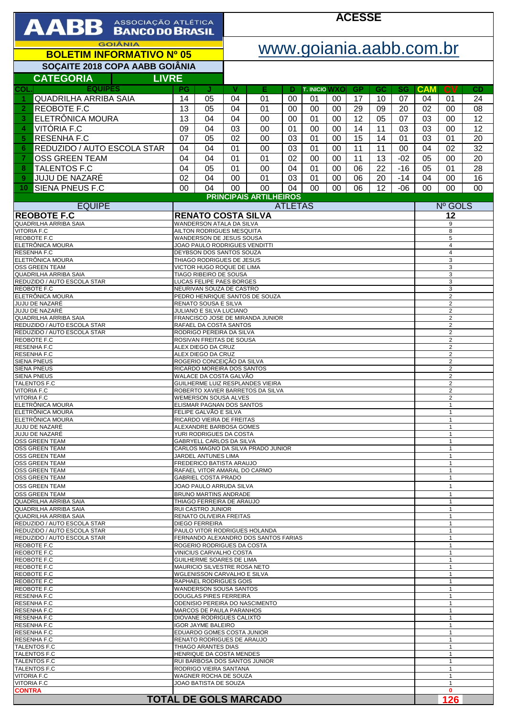| AABB ASSOCIAÇÃO ATLÉTICA                                    |                                                                                           |                                                                    | <b>ACESSE</b>             |                                      |          |                            |          |                 |          |                 |                  |                              |                |
|-------------------------------------------------------------|-------------------------------------------------------------------------------------------|--------------------------------------------------------------------|---------------------------|--------------------------------------|----------|----------------------------|----------|-----------------|----------|-----------------|------------------|------------------------------|----------------|
| <b>GOIÂNIA</b><br><b>BOLETIM INFORMATIVO Nº 05</b>          |                                                                                           |                                                                    | www.goiania.aabb.com.br   |                                      |          |                            |          |                 |          |                 |                  |                              |                |
| SOÇAITE 2018 COPA AABB GOIÂNIA                              |                                                                                           |                                                                    |                           |                                      |          |                            |          |                 |          |                 |                  |                              |                |
| <b>CATEGORIA</b><br><b>LIVRE</b>                            |                                                                                           |                                                                    |                           |                                      |          |                            |          |                 |          |                 |                  |                              |                |
| <b>EQUIPES</b><br>COL<br><b>QUADRILHA ARRIBA SAIA</b><br>-1 | PG<br>14                                                                                  | IJ<br>05                                                           | v<br>04                   | Е<br>01                              | Ð<br>00  | <b>T. INICIO WXO</b><br>01 | 00       | <b>GP</b><br>17 | GC<br>10 | <b>SG</b><br>07 | <b>CAM</b><br>04 | <b>CV</b><br>01              | CD<br>24       |
| $\overline{2}$<br><b>REOBOTE F.C</b>                        | 13                                                                                        | 05                                                                 | 04                        | 01                                   | 00       | 00                         | 00       | 29              | 09       | 20              | 02               | 00                           | 08             |
| ELETRÔNICA MOURA<br>3                                       | 13                                                                                        | 04                                                                 | 04                        | 00                                   | 00       | 01                         | 00       | 12              | 05       | 07              | 03               | 00                           | 12             |
| VITÓRIA F.C<br>4<br><b>RESENHAF.C</b>                       | 09<br>07                                                                                  | 04<br>05                                                           | 03<br>02                  | 00<br>00                             | 01       | 00<br>01                   | 00<br>00 | 14<br>15        | 11<br>14 | 03              | 03               | 00<br>01                     | 12             |
| 5<br>REDUZIDO / AUTO ESCOLA STAR<br>6                       | 04                                                                                        | 04                                                                 | 01                        | 00                                   | 03<br>03 | 01                         | 00       | 11              | 11       | 01<br>00        | 03<br>04         | 02                           | 20<br>32       |
| $\overline{7}$<br><b>OSS GREEN TEAM</b>                     | 04                                                                                        | 04                                                                 | 01                        | 01                                   | 02       | 00                         | 00       | 11              | 13       | $-02$           | 05               | 00                           | 20             |
| <b>TALENTOS F.C</b><br>8                                    | 04                                                                                        | 05                                                                 | 01                        | 00                                   | 04       | 01                         | 00       | 06              | 22       | $-16$           | 05               | 01                           | 28             |
| <b>JUJU DE NAZARÉ</b><br>9                                  | 02                                                                                        | 04                                                                 | 00                        | 01                                   | 03       | 01                         | 00       | 06              | 20       | $-14$           | 04               | 00                           | 16             |
| <b>SIENA PNEUS F.C</b><br>10                                | 00                                                                                        | 04                                                                 | 00                        | 00<br><b>PRINCIPAIS ARTILHEIROS</b>  | 04       | 00                         | 00       | 06              | 12       | $-06$           | 00               | 00                           | 0 <sub>0</sub> |
| <b>EQUIPE</b>                                               |                                                                                           |                                                                    | <b>ATLETAS</b><br>Nº GOLS |                                      |          |                            |          |                 |          |                 |                  |                              |                |
| <b>REOBOTE F.C</b><br>QUADRILHA ARRIBA SAIA                 |                                                                                           | <b>RENATO COSTA SILVA</b><br>WANDERSON ATALA DA SILVA              |                           |                                      |          |                            |          |                 | 12       |                 |                  |                              |                |
| <b>VITORIA F.C</b><br>REOBOTE F.C                           | AILTON RODRIGUES MESQUITA<br>8                                                            |                                                                    |                           |                                      |          |                            |          |                 |          |                 |                  |                              |                |
| ELETRÔNICA MOURA                                            | WANDERSON DE JESUS SOUSA<br>5<br>JOAO PAULO RODRIGUES VENDITTI<br>$\overline{4}$          |                                                                    |                           |                                      |          |                            |          |                 |          |                 |                  |                              |                |
| RESENHA F.C<br>ELETRÔNICA MOURA                             | DEYBSON DOS SANTOS SOUZA<br>$\overline{4}$<br>THIAGO RODRIGUES DE JESUS<br>3              |                                                                    |                           |                                      |          |                            |          |                 |          |                 |                  |                              |                |
| OSS GREEN TEAM                                              | 3<br>VICTOR HUGO ROQUE DE LIMA                                                            |                                                                    |                           |                                      |          |                            |          |                 |          |                 |                  |                              |                |
| QUADRILHA ARRIBA SAIA<br>REDUZIDO / AUTO ESCOLA STAR        | TIAGO RIBEIRO DE SOUSA<br>3<br>LUCAS FELIPE PAES BORGES<br>3                              |                                                                    |                           |                                      |          |                            |          |                 |          |                 |                  |                              |                |
| REOBOTE F.C<br>ELETRÔNICA MOURA                             | NEURIVAN SOUZA DE CASTRO<br>3                                                             |                                                                    |                           |                                      |          |                            |          |                 |          |                 |                  |                              |                |
| JUJU DE NAZARÉ                                              | PEDRO HENRIQUE SANTOS DE SOUZA<br>2<br>RENATO SOUSA E SILVA<br>2                          |                                                                    |                           |                                      |          |                            |          |                 |          |                 |                  |                              |                |
| JUJU DE NAZARÉ<br><b>QUADRILHA ARRIBA SAIA</b>              | JULIANO E SILVA LUCIANO<br>$\overline{c}$<br>FRANCISCO JOSE DE MIRANDA JUNIOR<br>2        |                                                                    |                           |                                      |          |                            |          |                 |          |                 |                  |                              |                |
| REDUZIDO / AUTO ESCOLA STAR                                 | RAFAEL DA COSTA SANTOS<br>2                                                               |                                                                    |                           |                                      |          |                            |          |                 |          |                 |                  |                              |                |
| REDUZIDO / AUTO ESCOLA STAR<br>REOBOTE F.C                  | RODRIGO PEREIRA DA SILVA<br>2<br>ROSIVAN FREITAS DE SOUSA<br>2                            |                                                                    |                           |                                      |          |                            |          |                 |          |                 |                  |                              |                |
| RESENHA F.C<br>RESENHA F.C                                  | ALEX DIEGO DA CRUZ<br>2<br>ALEX DIEGO DA CRUZ<br>2                                        |                                                                    |                           |                                      |          |                            |          |                 |          |                 |                  |                              |                |
| <b>SIENA PNEUS</b>                                          |                                                                                           | ROGERIO CONCEIÇÃO DA SILVA                                         |                           |                                      |          |                            |          |                 |          |                 |                  | $\overline{2}$               |                |
| <b>SIENA PNEUS</b><br><b>SIENA PNEUS</b>                    |                                                                                           | RICARDO MOREIRA DOS SANTOS                                         |                           |                                      |          |                            |          |                 |          |                 |                  | 2<br>2                       |                |
| TALENTOS F.C<br><b>VITORIA F.C.</b>                         | WALACE DA COSTA GALVÃO<br>GUILHERME LUIZ RESPLANDES VIEIRA                                |                                                                    |                           |                                      |          |                            |          |                 |          | 2               |                  |                              |                |
| VITORIA F.C                                                 | ROBERTO XAVIER BARRETOS DA SILVA<br>2<br><b>WEMERSON SOUSA ALVES</b><br>2                 |                                                                    |                           |                                      |          |                            |          |                 |          |                 |                  |                              |                |
| ELETRÔNICA MOURA<br>ELETRÔNICA MOURA                        |                                                                                           | ELISMAR PAGNAN DOS SANTOS<br>FELIPE GALVÃO E SILVA                 |                           |                                      |          |                            |          |                 |          |                 |                  | 1<br>$\mathbf{1}$            |                |
| ELETRÔNICA MOURA                                            |                                                                                           | RICARDO VIEIRA DE FREITAS                                          |                           |                                      |          |                            |          |                 |          |                 |                  | $\mathbf{1}$                 |                |
| JUJU DE NAZARÉ<br>JUJU DE NAZARÉ                            |                                                                                           | ALEXANDRE BARBOSA GOMES                                            |                           |                                      |          |                            |          |                 |          |                 |                  | $\mathbf{1}$<br>1            |                |
| OSS GREEN TEAM                                              | YURI RODRIGUES DA COSTA<br><b>GABRYELL CARLOS DA SILVA</b><br>$\mathbf{1}$                |                                                                    |                           |                                      |          |                            |          |                 |          |                 |                  |                              |                |
| OSS GREEN TEAM<br>OSS GREEN TEAM                            | CARLOS MAGNO DA SILVA PRADO JUNIOR<br>JARDEL ANTUNES LIMA<br>$\mathbf{1}$                 |                                                                    |                           |                                      |          |                            |          |                 |          |                 |                  |                              |                |
| OSS GREEN TEAM<br><b>OSS GREEN TEAM</b>                     | FREDERICO BATISTA ARAUJO<br>$\mathbf{1}$<br>$\mathbf{1}$                                  |                                                                    |                           |                                      |          |                            |          |                 |          |                 |                  |                              |                |
| OSS GREEN TEAM                                              | RAFAEL VITOR AMARAL DO CARMO<br><b>GABRIEL COSTA PRADO</b><br>$\mathbf{1}$                |                                                                    |                           |                                      |          |                            |          |                 |          |                 |                  |                              |                |
| <b>OSS GREEN TEAM</b><br><b>OSS GREEN TEAM</b>              | JOAO PAULO ARRUDA SILVA<br>$\mathbf{1}$                                                   |                                                                    |                           |                                      |          |                            |          |                 |          |                 |                  |                              |                |
| QUADRILHA ARRIBA SAIA                                       | <b>BRUNO MARTINS ANDRADE</b><br>$\mathbf{1}$<br>THIAGO FERREIRA DE ARAUJO<br>$\mathbf{1}$ |                                                                    |                           |                                      |          |                            |          |                 |          |                 |                  |                              |                |
| QUADRILHA ARRIBA SAIA<br>QUADRILHA ARRIBA SAIA              | <b>RUI CASTRO JUNIOR</b><br>$\mathbf{1}$<br>RENATO OLIVEIRA FREITAS<br>$\mathbf{1}$       |                                                                    |                           |                                      |          |                            |          |                 |          |                 |                  |                              |                |
| REDUZIDO / AUTO ESCOLA STAR<br>REDUZIDO / AUTO ESCOLA STAR  |                                                                                           | <b>DIEGO FERREIRA</b>                                              |                           | PAULO VITOR RODRIGUES HOLANDA        |          |                            |          |                 |          |                 |                  | $\mathbf{1}$<br>1            |                |
| REDUZIDO / AUTO ESCOLA STAR                                 |                                                                                           |                                                                    |                           | FERNANDO ALEXANDRO DOS SANTOS FARIAS |          |                            |          |                 |          |                 |                  | $\mathbf{1}$                 |                |
| REOBOTE F.C<br>REOBOTE F.C                                  |                                                                                           | ROGERIO RODRIGUES DA COSTA<br>VINICIUS CARVALHO COSTA              |                           |                                      |          |                            |          |                 |          |                 |                  | $\mathbf{1}$<br>$\mathbf{1}$ |                |
| REOBOTE F.C                                                 |                                                                                           | GUILHERME SOARES DE LIMA                                           |                           |                                      |          |                            |          |                 |          |                 |                  | $\mathbf{1}$                 |                |
| REOBOTE F.C<br>REOBOTE F.C                                  |                                                                                           | MAURICIO SILVESTRE ROSA NETO<br><b>WGLENISSON CARVALHO E SILVA</b> |                           |                                      |          |                            |          |                 |          |                 |                  | 1<br>$\mathbf{1}$            |                |
| REOBOTE F.C<br>REOBOTE F.C                                  |                                                                                           | RAPHAEL RODRIGUES GOIS<br>WANDERSON SOUSA SANTOS                   |                           |                                      |          |                            |          |                 |          |                 |                  | $\mathbf{1}$                 |                |
| <b>RESENHA F.C</b>                                          |                                                                                           | <b>DOUGLAS PIRES FERREIRA</b>                                      |                           |                                      |          |                            |          |                 |          |                 |                  | $\mathbf{1}$                 |                |
| RESENHA F.C<br>RESENHA F.C                                  |                                                                                           | <b>MARCOS DE PAULA PARANHOS</b>                                    |                           | ODENISIO PEREIRA DO NASCIMENTO       |          |                            |          |                 |          |                 |                  | $\mathbf{1}$<br>$\mathbf{1}$ |                |
| RESENHA F.C<br>RESENHA F.C                                  |                                                                                           | DIOVANE RODRIGUES CALIXTO                                          |                           |                                      |          |                            |          |                 |          |                 |                  | $\mathbf{1}$                 |                |
| RESENHA F.C                                                 | <b>IGOR JAYME BALEIRO</b><br>$\mathbf{1}$<br>EDUARDO GOMES COSTA JUNIOR<br>$\mathbf{1}$   |                                                                    |                           |                                      |          |                            |          |                 |          |                 |                  |                              |                |
| RESENHA F.C<br>TALENTOS F.C                                 | RENATO RODRIGUES DE ARAUJO<br>$\mathbf{1}$<br>THIAGO ARANTES DIAS<br>$\mathbf{1}$         |                                                                    |                           |                                      |          |                            |          |                 |          |                 |                  |                              |                |
| TALENTOS F.C                                                | HENRIQUE DA COSTA MENDES<br>$\mathbf{1}$                                                  |                                                                    |                           |                                      |          |                            |          |                 |          |                 |                  |                              |                |
| TALENTOS F.C<br>TALENTOS F.C                                | RUI BARBOSA DOS SANTOS JUNIOR<br>$\mathbf{1}$<br>RODRIGO VIEIRA SANTANA<br>$\mathbf{1}$   |                                                                    |                           |                                      |          |                            |          |                 |          |                 |                  |                              |                |
| VITORIA F.C<br>VITORIA F.C                                  | WAGNER ROCHA DE SOUZA<br>$\mathbf{1}$<br>JOAO BATISTA DE SOUZA<br>$\overline{1}$          |                                                                    |                           |                                      |          |                            |          |                 |          |                 |                  |                              |                |
| <b>CONTRA</b>                                               |                                                                                           |                                                                    |                           |                                      |          |                            |          |                 |          |                 |                  | $\mathbf{0}$                 |                |
|                                                             |                                                                                           |                                                                    |                           | <b>TOTAL DE GOLS MARCADO</b>         |          |                            |          |                 |          |                 |                  | 126                          |                |